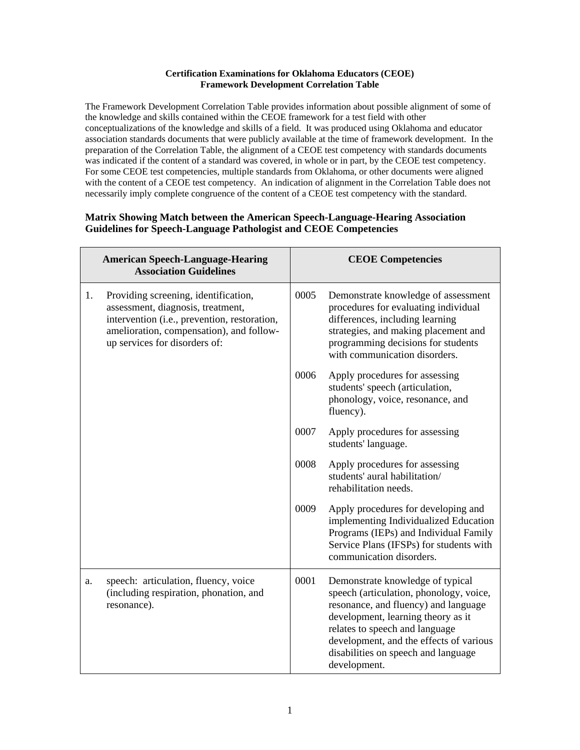## **Certification Examinations for Oklahoma Educators (CEOE) Framework Development Correlation Table**

The Framework Development Correlation Table provides information about possible alignment of some of the knowledge and skills contained within the CEOE framework for a test field with other conceptualizations of the knowledge and skills of a field. It was produced using Oklahoma and educator association standards documents that were publicly available at the time of framework development. In the preparation of the Correlation Table, the alignment of a CEOE test competency with standards documents was indicated if the content of a standard was covered, in whole or in part, by the CEOE test competency. For some CEOE test competencies, multiple standards from Oklahoma, or other documents were aligned with the content of a CEOE test competency. An indication of alignment in the Correlation Table does not necessarily imply complete congruence of the content of a CEOE test competency with the standard.

## **Matrix Showing Match between the American Speech-Language-Hearing Association Guidelines for Speech-Language Pathologist and CEOE Competencies**

|    | <b>American Speech-Language-Hearing</b><br><b>Association Guidelines</b>                                                                                                                               |      | <b>CEOE Competencies</b>                                                                                                                                                                                                                                                                      |
|----|--------------------------------------------------------------------------------------------------------------------------------------------------------------------------------------------------------|------|-----------------------------------------------------------------------------------------------------------------------------------------------------------------------------------------------------------------------------------------------------------------------------------------------|
| 1. | Providing screening, identification,<br>assessment, diagnosis, treatment,<br>intervention (i.e., prevention, restoration,<br>amelioration, compensation), and follow-<br>up services for disorders of: | 0005 | Demonstrate knowledge of assessment<br>procedures for evaluating individual<br>differences, including learning<br>strategies, and making placement and<br>programming decisions for students<br>with communication disorders.                                                                 |
|    |                                                                                                                                                                                                        | 0006 | Apply procedures for assessing<br>students' speech (articulation,<br>phonology, voice, resonance, and<br>fluency).                                                                                                                                                                            |
|    |                                                                                                                                                                                                        | 0007 | Apply procedures for assessing<br>students' language.                                                                                                                                                                                                                                         |
|    |                                                                                                                                                                                                        | 0008 | Apply procedures for assessing<br>students' aural habilitation/<br>rehabilitation needs.                                                                                                                                                                                                      |
|    |                                                                                                                                                                                                        | 0009 | Apply procedures for developing and<br>implementing Individualized Education<br>Programs (IEPs) and Individual Family<br>Service Plans (IFSPs) for students with<br>communication disorders.                                                                                                  |
| a. | speech: articulation, fluency, voice<br>(including respiration, phonation, and<br>resonance).                                                                                                          | 0001 | Demonstrate knowledge of typical<br>speech (articulation, phonology, voice,<br>resonance, and fluency) and language<br>development, learning theory as it<br>relates to speech and language<br>development, and the effects of various<br>disabilities on speech and language<br>development. |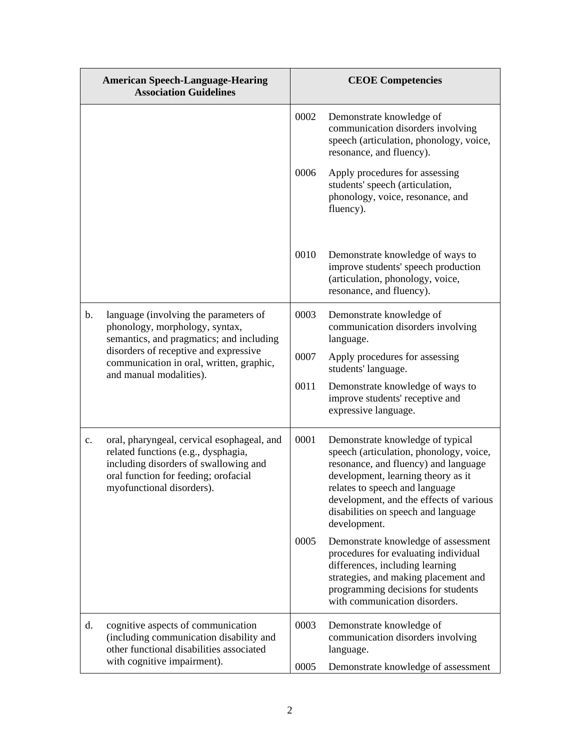|               | <b>American Speech-Language-Hearing</b><br><b>Association Guidelines</b>                                                                                                                                                            |      | <b>CEOE</b> Competencies                                                                                                                                                                                                                                                                      |
|---------------|-------------------------------------------------------------------------------------------------------------------------------------------------------------------------------------------------------------------------------------|------|-----------------------------------------------------------------------------------------------------------------------------------------------------------------------------------------------------------------------------------------------------------------------------------------------|
|               |                                                                                                                                                                                                                                     | 0002 | Demonstrate knowledge of<br>communication disorders involving<br>speech (articulation, phonology, voice,<br>resonance, and fluency).                                                                                                                                                          |
|               |                                                                                                                                                                                                                                     | 0006 | Apply procedures for assessing<br>students' speech (articulation,<br>phonology, voice, resonance, and<br>fluency).                                                                                                                                                                            |
|               |                                                                                                                                                                                                                                     | 0010 | Demonstrate knowledge of ways to<br>improve students' speech production<br>(articulation, phonology, voice,<br>resonance, and fluency).                                                                                                                                                       |
| $\mathbf b$ . | language (involving the parameters of<br>phonology, morphology, syntax,<br>semantics, and pragmatics; and including<br>disorders of receptive and expressive<br>communication in oral, written, graphic,<br>and manual modalities). | 0003 | Demonstrate knowledge of<br>communication disorders involving<br>language.                                                                                                                                                                                                                    |
|               |                                                                                                                                                                                                                                     | 0007 | Apply procedures for assessing<br>students' language.                                                                                                                                                                                                                                         |
|               |                                                                                                                                                                                                                                     | 0011 | Demonstrate knowledge of ways to<br>improve students' receptive and<br>expressive language.                                                                                                                                                                                                   |
| c.            | oral, pharyngeal, cervical esophageal, and<br>related functions (e.g., dysphagia,<br>including disorders of swallowing and<br>oral function for feeding; orofacial<br>myofunctional disorders).                                     | 0001 | Demonstrate knowledge of typical<br>speech (articulation, phonology, voice,<br>resonance, and fluency) and language<br>development, learning theory as it<br>relates to speech and language<br>development, and the effects of various<br>disabilities on speech and language<br>development. |
|               |                                                                                                                                                                                                                                     | 0005 | Demonstrate knowledge of assessment<br>procedures for evaluating individual<br>differences, including learning<br>strategies, and making placement and<br>programming decisions for students<br>with communication disorders.                                                                 |
| d.            | cognitive aspects of communication<br>(including communication disability and<br>other functional disabilities associated                                                                                                           | 0003 | Demonstrate knowledge of<br>communication disorders involving<br>language.                                                                                                                                                                                                                    |
|               | with cognitive impairment).                                                                                                                                                                                                         | 0005 | Demonstrate knowledge of assessment                                                                                                                                                                                                                                                           |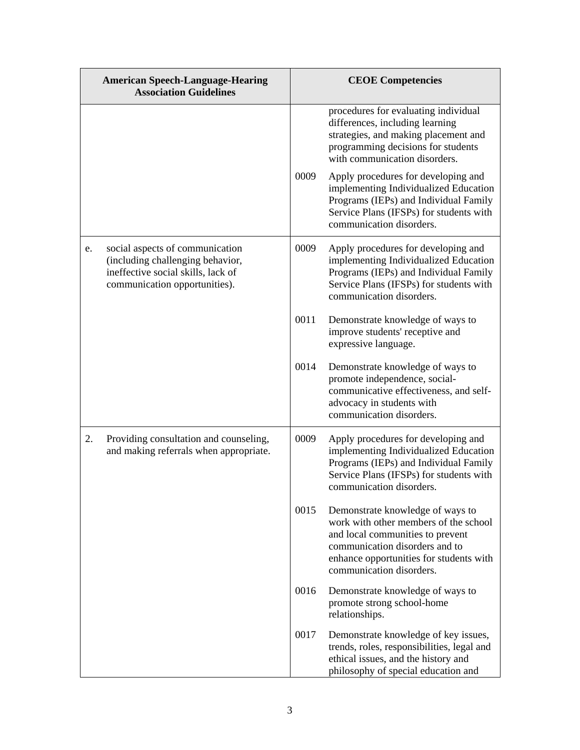|    | <b>American Speech-Language-Hearing</b><br><b>Association Guidelines</b>                                                                   |      | <b>CEOE Competencies</b>                                                                                                                                                                                               |
|----|--------------------------------------------------------------------------------------------------------------------------------------------|------|------------------------------------------------------------------------------------------------------------------------------------------------------------------------------------------------------------------------|
|    |                                                                                                                                            |      | procedures for evaluating individual<br>differences, including learning<br>strategies, and making placement and<br>programming decisions for students<br>with communication disorders.                                 |
|    |                                                                                                                                            | 0009 | Apply procedures for developing and<br>implementing Individualized Education<br>Programs (IEPs) and Individual Family<br>Service Plans (IFSPs) for students with<br>communication disorders.                           |
| e. | social aspects of communication<br>(including challenging behavior,<br>ineffective social skills, lack of<br>communication opportunities). | 0009 | Apply procedures for developing and<br>implementing Individualized Education<br>Programs (IEPs) and Individual Family<br>Service Plans (IFSPs) for students with<br>communication disorders.                           |
|    |                                                                                                                                            | 0011 | Demonstrate knowledge of ways to<br>improve students' receptive and<br>expressive language.                                                                                                                            |
|    |                                                                                                                                            | 0014 | Demonstrate knowledge of ways to<br>promote independence, social-<br>communicative effectiveness, and self-<br>advocacy in students with<br>communication disorders.                                                   |
| 2. | Providing consultation and counseling,<br>and making referrals when appropriate.                                                           | 0009 | Apply procedures for developing and<br>implementing Individualized Education<br>Programs (IEPs) and Individual Family<br>Service Plans (IFSPs) for students with<br>communication disorders.                           |
|    |                                                                                                                                            | 0015 | Demonstrate knowledge of ways to<br>work with other members of the school<br>and local communities to prevent<br>communication disorders and to<br>enhance opportunities for students with<br>communication disorders. |
|    |                                                                                                                                            | 0016 | Demonstrate knowledge of ways to<br>promote strong school-home<br>relationships.                                                                                                                                       |
|    |                                                                                                                                            | 0017 | Demonstrate knowledge of key issues,<br>trends, roles, responsibilities, legal and<br>ethical issues, and the history and<br>philosophy of special education and                                                       |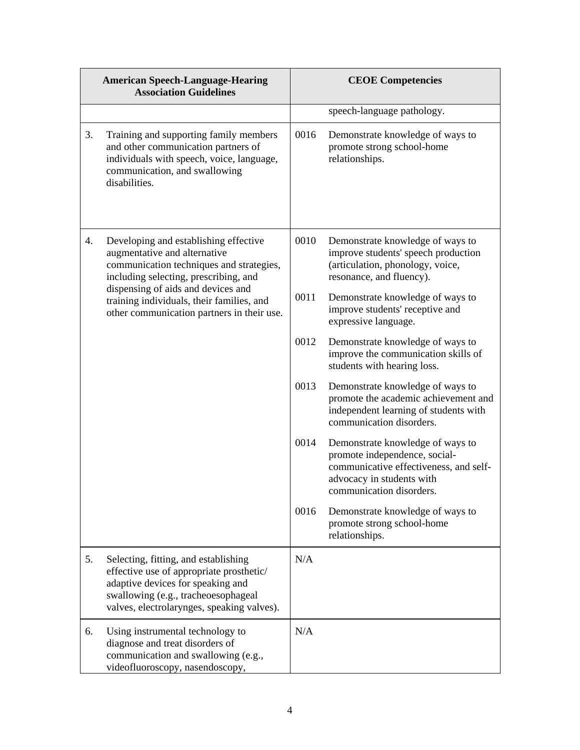|    | <b>American Speech-Language-Hearing</b><br><b>Association Guidelines</b>                                                                                                                                   |      | <b>CEOE Competencies</b>                                                                                                                                             |
|----|------------------------------------------------------------------------------------------------------------------------------------------------------------------------------------------------------------|------|----------------------------------------------------------------------------------------------------------------------------------------------------------------------|
|    |                                                                                                                                                                                                            |      | speech-language pathology.                                                                                                                                           |
| 3. | Training and supporting family members<br>and other communication partners of<br>individuals with speech, voice, language,<br>communication, and swallowing<br>disabilities.                               | 0016 | Demonstrate knowledge of ways to<br>promote strong school-home<br>relationships.                                                                                     |
| 4. | Developing and establishing effective<br>augmentative and alternative<br>communication techniques and strategies,<br>including selecting, prescribing, and                                                 | 0010 | Demonstrate knowledge of ways to<br>improve students' speech production<br>(articulation, phonology, voice,<br>resonance, and fluency).                              |
|    | dispensing of aids and devices and<br>training individuals, their families, and<br>other communication partners in their use.                                                                              | 0011 | Demonstrate knowledge of ways to<br>improve students' receptive and<br>expressive language.                                                                          |
|    |                                                                                                                                                                                                            | 0012 | Demonstrate knowledge of ways to<br>improve the communication skills of<br>students with hearing loss.                                                               |
|    |                                                                                                                                                                                                            | 0013 | Demonstrate knowledge of ways to<br>promote the academic achievement and<br>independent learning of students with<br>communication disorders.                        |
|    |                                                                                                                                                                                                            | 0014 | Demonstrate knowledge of ways to<br>promote independence, social-<br>communicative effectiveness, and self-<br>advocacy in students with<br>communication disorders. |
|    |                                                                                                                                                                                                            | 0016 | Demonstrate knowledge of ways to<br>promote strong school-home<br>relationships.                                                                                     |
| 5. | Selecting, fitting, and establishing<br>effective use of appropriate prosthetic/<br>adaptive devices for speaking and<br>swallowing (e.g., tracheoesophageal<br>valves, electrolarynges, speaking valves). | N/A  |                                                                                                                                                                      |
| 6. | Using instrumental technology to<br>diagnose and treat disorders of<br>communication and swallowing (e.g.,<br>videofluoroscopy, nasendoscopy,                                                              | N/A  |                                                                                                                                                                      |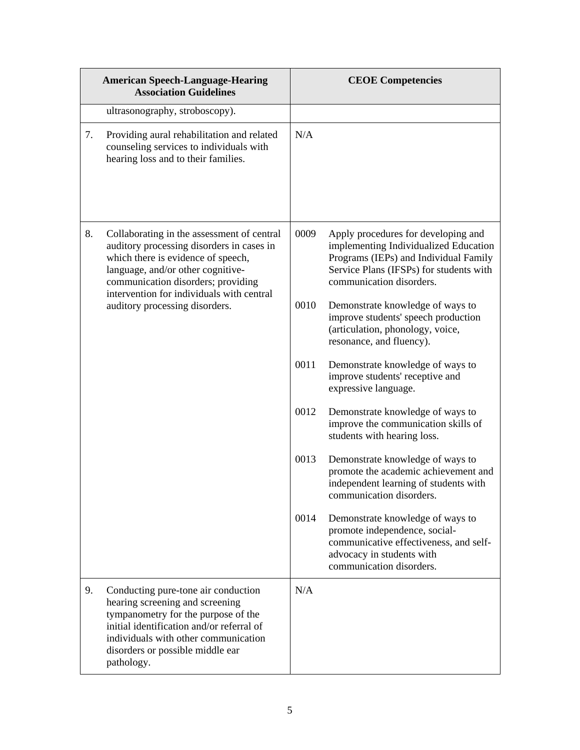|    | <b>American Speech-Language-Hearing</b><br><b>Association Guidelines</b>                                                                                                                                                                             |      | <b>CEOE</b> Competencies                                                                                                                                                                     |
|----|------------------------------------------------------------------------------------------------------------------------------------------------------------------------------------------------------------------------------------------------------|------|----------------------------------------------------------------------------------------------------------------------------------------------------------------------------------------------|
|    | ultrasonography, stroboscopy).                                                                                                                                                                                                                       |      |                                                                                                                                                                                              |
| 7. | Providing aural rehabilitation and related<br>counseling services to individuals with<br>hearing loss and to their families.                                                                                                                         | N/A  |                                                                                                                                                                                              |
| 8. | Collaborating in the assessment of central<br>auditory processing disorders in cases in<br>which there is evidence of speech,<br>language, and/or other cognitive-<br>communication disorders; providing                                             | 0009 | Apply procedures for developing and<br>implementing Individualized Education<br>Programs (IEPs) and Individual Family<br>Service Plans (IFSPs) for students with<br>communication disorders. |
|    | intervention for individuals with central<br>auditory processing disorders.                                                                                                                                                                          | 0010 | Demonstrate knowledge of ways to<br>improve students' speech production<br>(articulation, phonology, voice,<br>resonance, and fluency).                                                      |
|    |                                                                                                                                                                                                                                                      | 0011 | Demonstrate knowledge of ways to<br>improve students' receptive and<br>expressive language.                                                                                                  |
|    |                                                                                                                                                                                                                                                      | 0012 | Demonstrate knowledge of ways to<br>improve the communication skills of<br>students with hearing loss.                                                                                       |
|    |                                                                                                                                                                                                                                                      | 0013 | Demonstrate knowledge of ways to<br>promote the academic achievement and<br>independent learning of students with<br>communication disorders.                                                |
|    |                                                                                                                                                                                                                                                      | 0014 | Demonstrate knowledge of ways to<br>promote independence, social-<br>communicative effectiveness, and self-<br>advocacy in students with<br>communication disorders.                         |
| 9. | Conducting pure-tone air conduction<br>hearing screening and screening<br>tympanometry for the purpose of the<br>initial identification and/or referral of<br>individuals with other communication<br>disorders or possible middle ear<br>pathology. | N/A  |                                                                                                                                                                                              |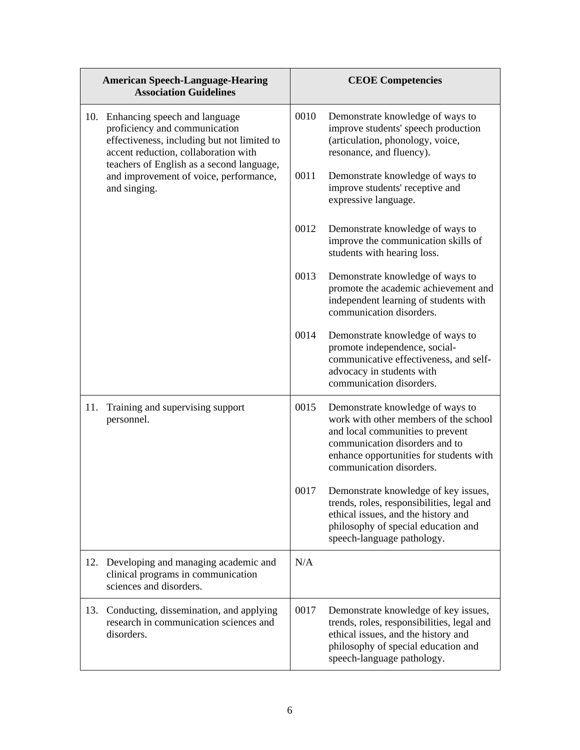|     | <b>American Speech-Language-Hearing</b><br><b>Association Guidelines</b>                                                                                                                           |      | <b>CEOE Competencies</b>                                                                                                                                                                                               |
|-----|----------------------------------------------------------------------------------------------------------------------------------------------------------------------------------------------------|------|------------------------------------------------------------------------------------------------------------------------------------------------------------------------------------------------------------------------|
| 10. | Enhancing speech and language<br>proficiency and communication<br>effectiveness, including but not limited to<br>accent reduction, collaboration with<br>teachers of English as a second language, | 0010 | Demonstrate knowledge of ways to<br>improve students' speech production<br>(articulation, phonology, voice,<br>resonance, and fluency).                                                                                |
|     | and improvement of voice, performance,<br>and singing.                                                                                                                                             | 0011 | Demonstrate knowledge of ways to<br>improve students' receptive and<br>expressive language.                                                                                                                            |
|     |                                                                                                                                                                                                    | 0012 | Demonstrate knowledge of ways to<br>improve the communication skills of<br>students with hearing loss.                                                                                                                 |
|     |                                                                                                                                                                                                    | 0013 | Demonstrate knowledge of ways to<br>promote the academic achievement and<br>independent learning of students with<br>communication disorders.                                                                          |
|     |                                                                                                                                                                                                    | 0014 | Demonstrate knowledge of ways to<br>promote independence, social-<br>communicative effectiveness, and self-<br>advocacy in students with<br>communication disorders.                                                   |
| 11. | Training and supervising support<br>personnel.                                                                                                                                                     | 0015 | Demonstrate knowledge of ways to<br>work with other members of the school<br>and local communities to prevent<br>communication disorders and to<br>enhance opportunities for students with<br>communication disorders. |
|     |                                                                                                                                                                                                    | 0017 | Demonstrate knowledge of key issues.<br>trends, roles, responsibilities, legal and<br>ethical issues, and the history and<br>philosophy of special education and<br>speech-language pathology.                         |
| 12. | Developing and managing academic and<br>clinical programs in communication<br>sciences and disorders.                                                                                              | N/A  |                                                                                                                                                                                                                        |
| 13. | Conducting, dissemination, and applying<br>research in communication sciences and<br>disorders.                                                                                                    | 0017 | Demonstrate knowledge of key issues,<br>trends, roles, responsibilities, legal and<br>ethical issues, and the history and<br>philosophy of special education and<br>speech-language pathology.                         |